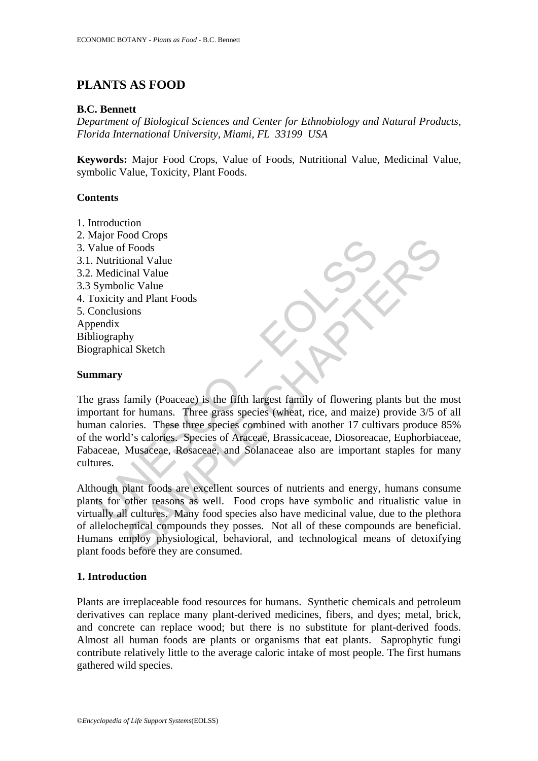# **PLANTS AS FOOD**

### **B.C. Bennett**

*Department of Biological Sciences and Center for Ethnobiology and Natural Products, Florida International University, Miami, FL 33199 USA* 

**Keywords:** Major Food Crops, Value of Foods, Nutritional Value, Medicinal Value, symbolic Value, Toxicity, Plant Foods.

### **Contents**

1. Introduction 2. Major Food Crops 3. Value of Foods 3.1. Nutritional Value 3.2. Medicinal Value 3.3 Symbolic Value 4. Toxicity and Plant Foods 5. Conclusions Appendix Bibliography Biographical Sketch

#### **Summary**

Mutritional Value<br>
Symbolic Value<br>
Medicinal Value<br>
Medicinal Value<br>
Symbolic Value<br>
Symbolic Value<br>
oxicity and Plant Foods<br>
bendix<br>
liography<br>
graphical Sketch<br> **annary**<br>
grass family (Poaceae) is the fifth largest famil Foods<br>
Foods<br>
inal Value<br>
inal Value<br>
and Plant Foods<br>
and Plant Foods<br>
ions<br>
hy<br>
family (Poaceae) is the fifth largest family of flowering plants but the r<br>
for humans. Three grass species (wheat, rice, and maize) provide The grass family (Poaceae) is the fifth largest family of flowering plants but the most important for humans. Three grass species (wheat, rice, and maize) provide 3/5 of all human calories. These three species combined with another 17 cultivars produce 85% of the world's calories. Species of Araceae, Brassicaceae, Diosoreacae, Euphorbiaceae, Fabaceae, Musaceae, Rosaceae, and Solanaceae also are important staples for many cultures.

Although plant foods are excellent sources of nutrients and energy, humans consume plants for other reasons as well. Food crops have symbolic and ritualistic value in virtually all cultures. Many food species also have medicinal value, due to the plethora of allelochemical compounds they posses. Not all of these compounds are beneficial. Humans employ physiological, behavioral, and technological means of detoxifying plant foods before they are consumed.

### **1. Introduction**

Plants are irreplaceable food resources for humans. Synthetic chemicals and petroleum derivatives can replace many plant-derived medicines, fibers, and dyes; metal, brick, and concrete can replace wood; but there is no substitute for plant-derived foods. Almost all human foods are plants or organisms that eat plants. Saprophytic fungi contribute relatively little to the average caloric intake of most people. The first humans gathered wild species.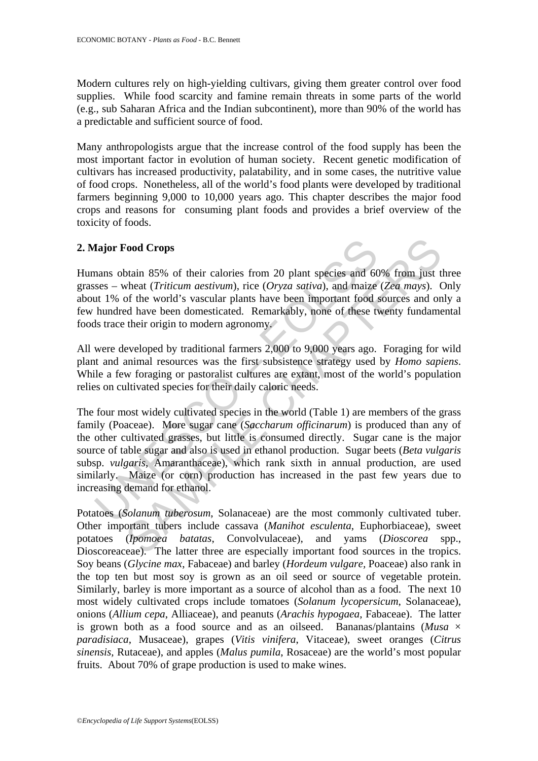Modern cultures rely on high-yielding cultivars, giving them greater control over food supplies. While food scarcity and famine remain threats in some parts of the world (e.g., sub Saharan Africa and the Indian subcontinent), more than 90% of the world has a predictable and sufficient source of food.

Many anthropologists argue that the increase control of the food supply has been the most important factor in evolution of human society. Recent genetic modification of cultivars has increased productivity, palatability, and in some cases, the nutritive value of food crops. Nonetheless, all of the world's food plants were developed by traditional farmers beginning 9,000 to 10,000 years ago. This chapter describes the major food crops and reasons for consuming plant foods and provides a brief overview of the toxicity of foods.

## **2. Major Food Crops**

Humans obtain 85% of their calories from 20 plant species and 60% from just three grasses – wheat (*Triticum aestivum*), rice (*Oryza sativa*), and maize (*Zea mays*). Only about 1% of the world's vascular plants have been important food sources and only a few hundred have been domesticated. Remarkably, none of these twenty fundamental foods trace their origin to modern agronomy.

All were developed by traditional farmers 2,000 to 9,000 years ago. Foraging for wild plant and animal resources was the first subsistence strategy used by *Homo sapiens*. While a few foraging or pastoralist cultures are extant, most of the world's population relies on cultivated species for their daily caloric needs.

**fajor Food Crops**<br>**fajor Food Crops**<br>**fajor Food Crops**<br>**fasc** – wheat (*Triticum aestivum*), rice (*Oryza sativa*), and maize<br>**tu** 1% of the world's vascular plants have been important food s<br>hundred have been domestica **Food Crops**<br> **Cood Crops**<br> **Cood Crops**<br> **Cood Crops**<br> **Cood Crops**<br> **Cood Crops**<br> **Cood Crops**<br> **Cood Crops**<br> **Cood Crops**<br> **Cood Crops**<br> **Cood Crops**<br> **Cood Crops**<br> **Cood Crops**<br> **Cood Crops**<br> **Cood Crops**<br> **Cood Crops** The four most widely cultivated species in the world (Table 1) are members of the grass family (Poaceae). More sugar cane (*Saccharum officinarum*) is produced than any of the other cultivated grasses, but little is consumed directly. Sugar cane is the major source of table sugar and also is used in ethanol production. Sugar beets (*Beta vulgaris* subsp. *vulgaris*, Amaranthaceae), which rank sixth in annual production, are used similarly. Maize (or corn) production has increased in the past few years due to increasing demand for ethanol.

Potatoes (*Solanum tuberosum*, Solanaceae) are the most commonly cultivated tuber. Other important tubers include cassava (*Manihot esculenta*, Euphorbiaceae), sweet potatoes (*Ipomoea batatas*, Convolvulaceae), and yams (*Dioscorea* spp., Dioscoreaceae). The latter three are especially important food sources in the tropics. Soy beans (*Glycine max*, Fabaceae) and barley (*Hordeum vulgare,* Poaceae) also rank in the top ten but most soy is grown as an oil seed or source of vegetable protein. Similarly, barley is more important as a source of alcohol than as a food. The next 10 most widely cultivated crops include tomatoes (*Solanum lycopersicum*, Solanaceae), onions (*Allium cepa*, Alliaceae), and peanuts (*Arachis hypogaea*, Fabaceae). The latter is grown both as a food source and as an oilseed. Bananas/plantains (*Musa* × *paradisiaca*, Musaceae), grapes (*Vitis vinifera*, Vitaceae), sweet oranges (*Citrus sinensis,* Rutaceae), and apples (*Malus pumila*, Rosaceae) are the world's most popular fruits. About 70% of grape production is used to make wines.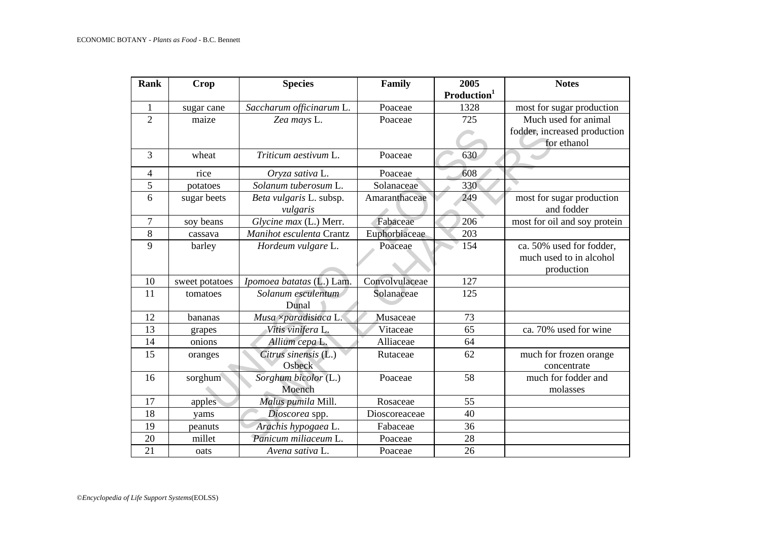| <b>Rank</b>    | Crop           | <b>Species</b>              | Family         | 2005<br>Production <sup>1</sup> | <b>Notes</b>                 |
|----------------|----------------|-----------------------------|----------------|---------------------------------|------------------------------|
| 1              | sugar cane     | Saccharum officinarum L.    | Poaceae        | 1328                            | most for sugar production    |
| $\overline{2}$ | maize          | Zea mays L.                 | Poaceae        | 725                             | Much used for animal         |
|                |                |                             |                |                                 | fodder, increased production |
|                |                |                             |                |                                 | for ethanol                  |
| $\overline{3}$ | wheat          | Triticum aestivum L.        | Poaceae        | 630                             |                              |
| $\overline{4}$ | rice           | Oryza sativa L.             | Poaceae        | 608                             |                              |
| 5              | potatoes       | Solanum tuberosum L.        | Solanaceae     | 330                             |                              |
| 6              | sugar beets    | Beta vulgaris L. subsp.     | Amaranthaceae  | 249                             | most for sugar production    |
|                |                | vulgaris                    |                |                                 | and fodder                   |
| $\overline{7}$ | soy beans      | Glycine max (L.) Merr.      | Fabaceae       | 206                             | most for oil and soy protein |
| 8              | cassava        | Manihot esculenta Crantz    | Euphorbiaceae  | 203                             |                              |
| 9              | barley         | Hordeum vulgare L.          | Poaceae        | 154                             | ca. 50% used for fodder,     |
|                |                |                             |                |                                 | much used to in alcohol      |
|                |                |                             |                |                                 | production                   |
| 10             | sweet potatoes | Ipomoea batatas (L.) Lam.   | Convolvulaceae | 127                             |                              |
| 11             | tomatoes       | Solanum esculentum<br>Dunal | Solanaceae     | 125                             |                              |
| 12             | bananas        | Musa ×paradisiaca L.        | Musaceae       | 73                              |                              |
| 13             | grapes         | Vitis vinifera L.           | Vitaceae       | 65                              | ca. 70% used for wine        |
| 14             | onions         | Allium cepa L.              | Alliaceae      | 64                              |                              |
| 15             | oranges        | Citrus sinensis (L.)        | Rutaceae       | 62                              | much for frozen orange       |
|                |                | Osbeck                      |                |                                 | concentrate                  |
| 16             | sorghum        | Sorghum bicolor (L.)        | Poaceae        | 58                              | much for fodder and          |
|                |                | Moench                      |                |                                 | molasses                     |
| 17             | apples         | Malus pumila Mill.          | Rosaceae       | 55                              |                              |
| 18             | yams           | Dioscorea spp.              | Dioscoreaceae  | 40                              |                              |
| 19             | peanuts        | Arachis hypogaea L.         | Fabaceae       | 36                              |                              |
| 20             | millet         | Panicum miliaceum L.        | Poaceae        | 28                              |                              |
| 21             | oats           | Avena sativa L.             | Poaceae        | 26                              |                              |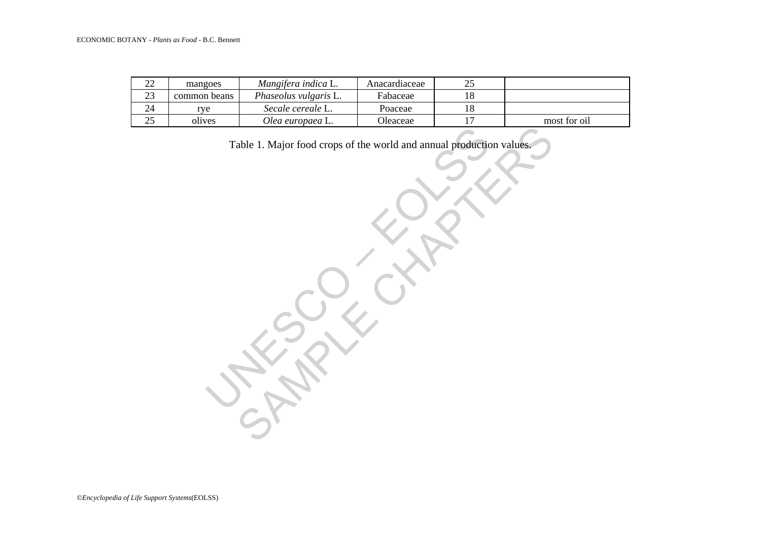| $\overline{18}$<br>23<br>Phaseolus vulgaris L.<br>common beans<br>Fabaceae<br>$24\,$<br>$18\,$<br>Secale cereale L.<br>Poaceae<br>rye<br>25<br>$17\,$<br>most for oil<br>Olea europaea L.<br>Oleaceae<br>olives<br>Table 1. Major food crops of the world and annual production values. | 22 | mangoes | Mangifera indica L. | Anacardiaceae | 25 |  |
|-----------------------------------------------------------------------------------------------------------------------------------------------------------------------------------------------------------------------------------------------------------------------------------------|----|---------|---------------------|---------------|----|--|
|                                                                                                                                                                                                                                                                                         |    |         |                     |               |    |  |
|                                                                                                                                                                                                                                                                                         |    |         |                     |               |    |  |
|                                                                                                                                                                                                                                                                                         |    |         |                     |               |    |  |
|                                                                                                                                                                                                                                                                                         |    |         |                     |               |    |  |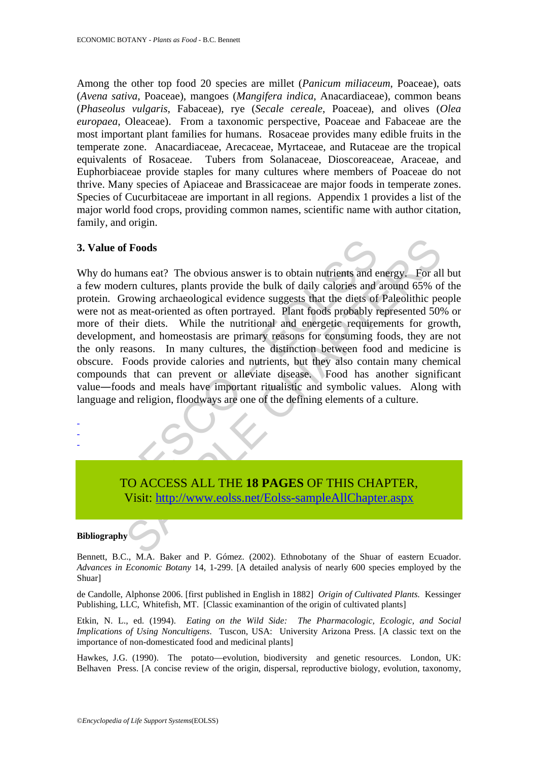Among the other top food 20 species are millet (*Panicum miliaceum*, Poaceae), oats (*Avena sativa*, Poaceae), mangoes (*Mangifera indica*, Anacardiaceae), common beans (*Phaseolus vulgaris*, Fabaceae), rye (*Secale cereale*, Poaceae), and olives (*Olea europaea*, Oleaceae). From a taxonomic perspective, Poaceae and Fabaceae are the most important plant families for humans. Rosaceae provides many edible fruits in the temperate zone. Anacardiaceae, Arecaceae, Myrtaceae, and Rutaceae are the tropical equivalents of Rosaceae. Tubers from Solanaceae, Dioscoreaceae, Araceae, and Euphorbiaceae provide staples for many cultures where members of Poaceae do not thrive. Many species of Apiaceae and Brassicaceae are major foods in temperate zones. Species of Cucurbitaceae are important in all regions. Appendix 1 provides a list of the major world food crops, providing common names, scientific name with author citation, family, and origin.

#### **3. Value of Foods**

Fraction Correction and Markov and Markov and Window Motion and Window modern cultures, plants provide the bulk of daily calories and ein. Growing archaeological evidence suggests that the diets of end as meat-oriented as **EXECUTE:**<br>
S[AM](https://www.eolss.net/ebooklib/sc_cart.aspx?File=E6-118-07)PLE CHAPTER,<br>
THE CHAPTER CHAPTER,<br>
THE CHAPTER CHAPTER,<br>
THE CHAPTER CHAPTER,<br>
THE CHAPTER CHAPTER,<br>
SAMPLE CHAPTER CHAPTER,<br>
THE CHAPTER CHAPTER,<br>
THE CHAPTER CHAPTER,<br>
THE CHAPTER CHAPTER,<br>
THE CHAPTER CH Why do humans eat? The obvious answer is to obtain nutrients and energy. For all but a few modern cultures, plants provide the bulk of daily calories and around 65% of the protein. Growing archaeological evidence suggests that the diets of Paleolithic people were not as meat-oriented as often portrayed. Plant foods probably represented 50% or more of their diets. While the nutritional and energetic requirements for growth, development, and homeostasis are primary reasons for consuming foods, they are not the only reasons. In many cultures, the distinction between food and medicine is obscure. Foods provide calories and nutrients, but they also contain many chemical compounds that can prevent or alleviate disease. Food has another significant value―foods and meals have important ritualistic and symbolic values. Along with language and religion, floodways are one of the defining elements of a culture.

TO ACCESS ALL THE **18 PAGES** OF THIS CHAPTER, Visit: http://www.eolss.net/Eolss-sampleAllChapter.aspx

#### **Bibliography**

- - -

Bennett, B.C., M.A. Baker and P. Gómez. (2002). Ethnobotany of the Shuar of eastern Ecuador. *Advances in Economic Botany* 14, 1-299. [A detailed analysis of nearly 600 species employed by the Shuar]

de Candolle, Alphonse 2006. [first published in English in 1882] *Origin of Cultivated Plants.* Kessinger Publishing, LLC, Whitefish, MT. [Classic examinantion of the origin of cultivated plants]

Etkin, N. L., ed. (1994). *Eating on the Wild Side: The Pharmacologic, Ecologic, and Social Implications of Using Noncultigens*. Tuscon, USA: University Arizona Press. [A classic text on the importance of non-domesticated food and medicinal plants]

Hawkes, J.G. (1990). The potato—evolution, biodiversity and genetic resources. London, UK: Belhaven Press. [A concise review of the origin, dispersal, reproductive biology, evolution, taxonomy,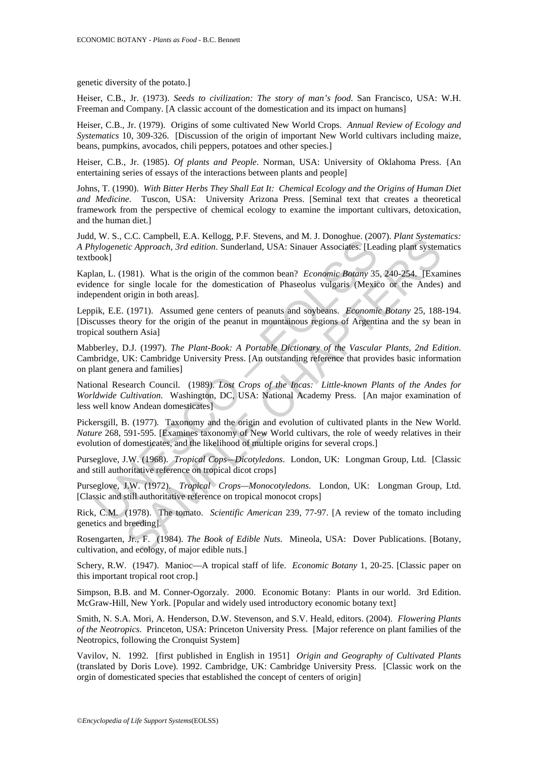genetic diversity of the potato.]

Heiser, C.B., Jr. (1973). *Seeds to civilization: The story of man's food*. San Francisco, USA: W.H. Freeman and Company. [A classic account of the domestication and its impact on humans]

Heiser, C.B., Jr. (1979). Origins of some cultivated New World Crops. *Annual Review of Ecology and Systematics* 10, 309-326. [Discussion of the origin of important New World cultivars including maize, beans, pumpkins, avocados, chili peppers, potatoes and other species.]

Heiser, C.B., Jr. (1985). *Of plants and People*. Norman, USA: University of Oklahoma Press. {An entertaining series of essays of the interactions between plants and people]

Johns, T. (1990). *With Bitter Herbs They Shall Eat It: Chemical Ecology and the Origins of Human Diet and Medicine*. Tuscon, USA: University Arizona Press. [Seminal text that creates a theoretical framework from the perspective of chemical ecology to examine the important cultivars, detoxication, and the human diet.]

Judd, W. S., C.C. Campbell, E.A. Kellogg, P.F. Stevens, and M. J. Donoghue. (2007). *Plant Systematics: A Phylogenetic Approach, 3rd edition*. Sunderland, USA: Sinauer Associates. [Leading plant systematics textbook]

Kaplan, L. (1981). What is the origin of the common bean? *Economic Botany* 35, 240-254. [Examines evidence for single locale for the domestication of Phaseolus vulgaris (Mexico or the Andes) and independent origin in both areas].

Leppik, E.E. (1971). Assumed gene centers of peanuts and soybeans. *Economic Botany* 25, 188-194. [Discusses theory for the origin of the peanut in mountainous regions of Argentina and the sy bean in tropical southern Asia]

Mabberley, D.J. (1997). *The Plant-Book: A Portable Dictionary of the Vascular Plants, 2nd Edition*. Cambridge, UK: Cambridge University Press. [An outstanding reference that provides basic information on plant genera and families]

*N. A. S., C.C. Campuent, L.A., Kennegy, 1.1.* Suevens, and *N. J. Donogutec,* (2003)<br>an, L. (1981). What is the origin of the common bean? *Economic Botany* 35<br>ook]<br>an, L. (1981). What is the origin of the common bean? *E* C.C. Camponei, *E.A.* Kenopg, P.F. Sevens, and wit. 3. Donognuc. (2007), *Funn system*<br>cic Approach, *3rd edition*. Sunderland, USA: Sinauer Associates. [Leading plant system<br>single locale for the domestication of Phaseol National Research Council. (1989). *Lost Crops of the Incas: Little-known Plants of the Andes for Worldwide Cultivation.* Washington, DC, USA: National Academy Press. [An major examination of less well know Andean domesticates]

Pickersgill, B. (1977). Taxonomy and the origin and evolution of cultivated plants in the New World. *Nature* 268, 591-595. [Examines taxonomy of New World cultivars, the role of weedy relatives in their evolution of domesticates, and the likelihood of multiple origins for several crops.]

Purseglove, J.W. (1968). *Tropical Cops—Dicotyledons*. London, UK: Longman Group, Ltd. [Classic and still authoritative reference on tropical dicot crops]

Purseglove, J.W. (1972). *Tropical Crops—Monocotyledons*. London, UK: Longman Group, Ltd. [Classic and still authoritative reference on tropical monocot crops]

Rick, C.M. (1978). The tomato. *Scientific American* 239, 77-97. [A review of the tomato including genetics and breeding].

Rosengarten, Jr., F. (1984). *The Book of Edible Nuts*. Mineola, USA: Dover Publications. [Botany, cultivation, and ecology, of major edible nuts.]

Schery, R.W. (1947). Manioc—A tropical staff of life. *Economic Botany* 1, 20-25. [Classic paper on this important tropical root crop.]

Simpson, B.B. and M. Conner-Ogorzaly. 2000. Economic Botany: Plants in our world. 3rd Edition. McGraw-Hill, New York. [Popular and widely used introductory economic botany text]

Smith, N. S.A. Mori, A. Henderson, D.W. Stevenson, and S.V. Heald, editors. (2004). *Flowering Plants of the Neotropics*. Princeton, USA: Princeton University Press. [Major reference on plant families of the Neotropics, following the Cronquist System]

Vavilov, N. 1992. [first published in English in 1951] *Origin and Geography of Cultivated Plants* (translated by Doris Love). 1992. Cambridge, UK: Cambridge University Press. [Classic work on the orgin of domesticated species that established the concept of centers of origin]